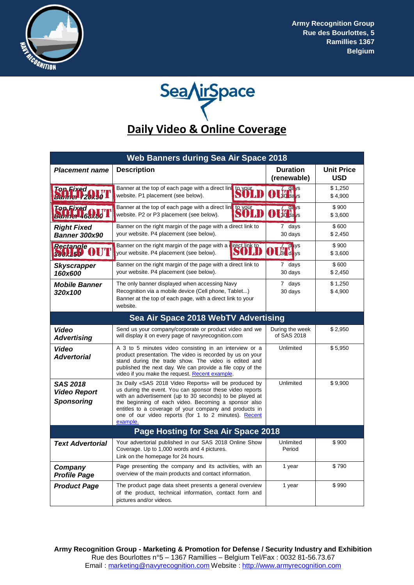



| Web Banners during Sea Air Space 2018                       |                                                                                                                                                                                                                                                                                                                                                                      |                                    |                                 |
|-------------------------------------------------------------|----------------------------------------------------------------------------------------------------------------------------------------------------------------------------------------------------------------------------------------------------------------------------------------------------------------------------------------------------------------------|------------------------------------|---------------------------------|
| <b>Placement name</b>                                       | <b>Description</b>                                                                                                                                                                                                                                                                                                                                                   | <b>Duration</b><br>(renewable)     | <b>Unit Price</b><br><b>USD</b> |
| <b>On Fixed</b><br>Barmel 720x50                            | Banner at the top of each page with a direct lin<br>to your<br>website. P1 placement (see below).                                                                                                                                                                                                                                                                    | $7.44$ ys<br>$30$ da $/s$          | \$1,250<br>\$4,900              |
| <b>Top Fixed</b><br>Barmer 468x86                           | Banner at the top of each page with a direct link to your<br>website. P2 or P3 placement (see below).                                                                                                                                                                                                                                                                | $-dε$ ys<br>$30 \text{ da/s}$      | \$900<br>\$3,600                |
| <b>Right Fixed</b><br><b>Banner 300x90</b>                  | Banner on the right margin of the page with a direct link to<br>your website. P4 placement (see below).                                                                                                                                                                                                                                                              | 7 days<br>30 days                  | \$600<br>\$2,450                |
| Rectangle<br><b>300x250</b>                                 | Banner on the right margin of the page with a lirect link to<br>your website. P4 placement (see below).                                                                                                                                                                                                                                                              | $\frac{7}{3}$ d <sub>ys</sub><br>D | \$900<br>\$3,600                |
| <b>Skyscrapper</b><br>160x600                               | Banner on the right margin of the page with a direct link to<br>your website. P4 placement (see below).                                                                                                                                                                                                                                                              | 7 days<br>30 days                  | \$600<br>\$2,450                |
| <b>Mobile Banner</b><br>320x100                             | The only banner displayed when accessing Navy<br>Recognition via a mobile device (Cell phone, Tablet)<br>Banner at the top of each page, with a direct link to your<br>website.                                                                                                                                                                                      | 7 days<br>30 days                  | \$1,250<br>\$4,900              |
| Sea Air Space 2018 WebTV Advertising                        |                                                                                                                                                                                                                                                                                                                                                                      |                                    |                                 |
| Video<br><b>Advertising</b>                                 | Send us your company/corporate or product video and we<br>will display it on every page of navyrecognition.com                                                                                                                                                                                                                                                       | During the week<br>of SAS 2018     | \$2,950                         |
| <b>Video</b><br><b>Advertorial</b>                          | A 3 to 5 minutes video consisting in an interview or a<br>product presentation. The video is recorded by us on your<br>stand during the trade show. The video is edited and<br>published the next day. We can provide a file copy of the<br>video if you make the request. Recent example.                                                                           | Unlimited                          | \$5,950                         |
| <b>SAS 2018</b><br><b>Video Report</b><br><b>Sponsoring</b> | 3x Daily «SAS 2018 Video Reports» will be produced by<br>us during the event. You can sponsor these video reports<br>with an advertisement (up to 30 seconds) to be played at<br>the beginning of each video. Becoming a sponsor also<br>entitles to a coverage of your company and products in<br>one of our video reports (for 1 to 2 minutes). Recent<br>example. | Unlimited                          | \$9,900                         |
| Page Hosting for Sea Air Space 2018                         |                                                                                                                                                                                                                                                                                                                                                                      |                                    |                                 |
| <b>Text Advertorial</b>                                     | Your advertorial published in our SAS 2018 Online Show<br>Coverage. Up to 1,000 words and 4 pictures.<br>Link on the homepage for 24 hours.                                                                                                                                                                                                                          | Unlimited<br>Period                | \$900                           |
| Company<br><b>Profile Page</b>                              | Page presenting the company and its activities, with an<br>overview of the main products and contact information.                                                                                                                                                                                                                                                    | 1 year                             | \$790                           |
| <b>Product Page</b>                                         | The product page data sheet presents a general overview<br>of the product, technical information, contact form and<br>pictures and/or videos.                                                                                                                                                                                                                        | 1 year                             | \$990                           |

**Army Recognition Group - Marketing & Promotion for Defense / Security Industry and Exhibition** Rue des Bourlottes n°5 – 1367 Ramillies – Belgium Tel/Fax : 0032 81-56.73.67 Email : marketing@navyrecognition.com Website : http://www.armyrecognition.com